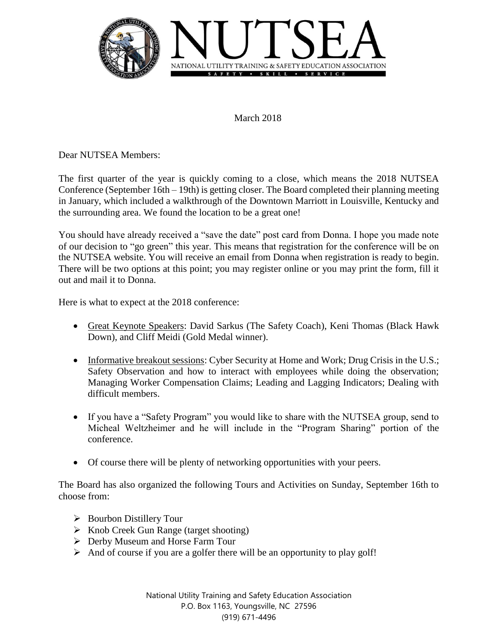

March 2018

Dear NUTSEA Members:

The first quarter of the year is quickly coming to a close, which means the 2018 NUTSEA Conference (September 16th – 19th) is getting closer. The Board completed their planning meeting in January, which included a walkthrough of the Downtown Marriott in Louisville, Kentucky and the surrounding area. We found the location to be a great one!

You should have already received a "save the date" post card from Donna. I hope you made note of our decision to "go green" this year. This means that registration for the conference will be on the NUTSEA website. You will receive an email from Donna when registration is ready to begin. There will be two options at this point; you may register online or you may print the form, fill it out and mail it to Donna.

Here is what to expect at the 2018 conference:

- Great Keynote Speakers: David Sarkus (The Safety Coach), Keni Thomas (Black Hawk Down), and Cliff Meidi (Gold Medal winner).
- Informative breakout sessions: Cyber Security at Home and Work; Drug Crisis in the U.S.; Safety Observation and how to interact with employees while doing the observation; Managing Worker Compensation Claims; Leading and Lagging Indicators; Dealing with difficult members.
- If you have a "Safety Program" you would like to share with the NUTSEA group, send to Micheal Weltzheimer and he will include in the "Program Sharing" portion of the conference.
- Of course there will be plenty of networking opportunities with your peers.

The Board has also organized the following Tours and Activities on Sunday, September 16th to choose from:

- $\triangleright$  Bourbon Distillery Tour
- $\triangleright$  Knob Creek Gun Range (target shooting)
- Derby Museum and Horse Farm Tour
- $\triangleright$  And of course if you are a golfer there will be an opportunity to play golf!

National Utility Training and Safety Education Association P.O. Box 1163, Youngsville, NC 27596 (919) 671-4496